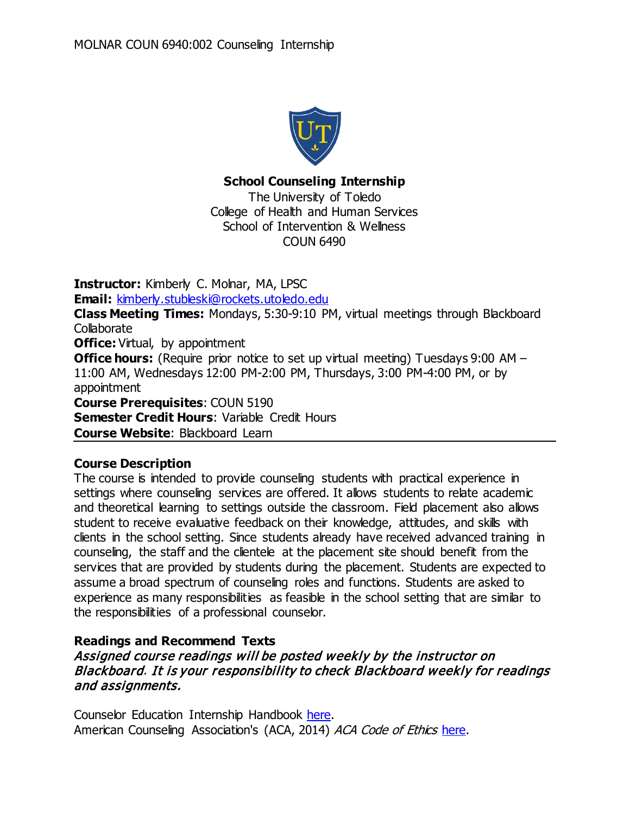

# **School Counseling Internship**

The University of Toledo College of Health and Human Services School of Intervention & Wellness COUN 6490

**Instructor:** Kimberly C. Molnar, MA, LPSC **Email:** [kimberly.stubleski@rockets.utoledo.edu](mailto:kimberly.stubleski@rockets.utoledo.edu) **Class Meeting Times:** Mondays, 5:30-9:10 PM, virtual meetings through Blackboard **Collaborate Office:** Virtual, by appointment **Office hours:** (Require prior notice to set up virtual meeting) Tuesdays 9:00 AM – 11:00 AM, Wednesdays 12:00 PM-2:00 PM, Thursdays, 3:00 PM-4:00 PM, or by appointment **Course Prerequisites**: COUN 5190 **Semester Credit Hours: Variable Credit Hours Course Website**: Blackboard Learn

# **Course Description**

The course is intended to provide counseling students with practical experience in settings where counseling services are offered. It allows students to relate academic and theoretical learning to settings outside the classroom. Field placement also allows student to receive evaluative feedback on their knowledge, attitudes, and skills with clients in the school setting. Since students already have received advanced training in counseling, the staff and the clientele at the placement site should benefit from the services that are provided by students during the placement. Students are expected to assume a broad spectrum of counseling roles and functions. Students are asked to experience as many responsibilities as feasible in the school setting that are similar to the responsibilities of a professional counselor.

# **Readings and Recommend Texts**

# Assigned course readings will be posted weekly by the instructor on Blackboard. It is your responsibility to check Blackboard weekly for readings and assignments.

Counselor Education Internship Handbook [here.](https://www.utoledo.edu/hhs/counselor-education/4Students/PDFs/MA%20Internship%20Handbook%20-%20Final%2020.pdf) American Counseling Association's (ACA, 2014) ACA Code of Ethics [here.](https://www.schoolcounselor.org/asca/media/asca/Ethics/EthicalStandards2016.pdf)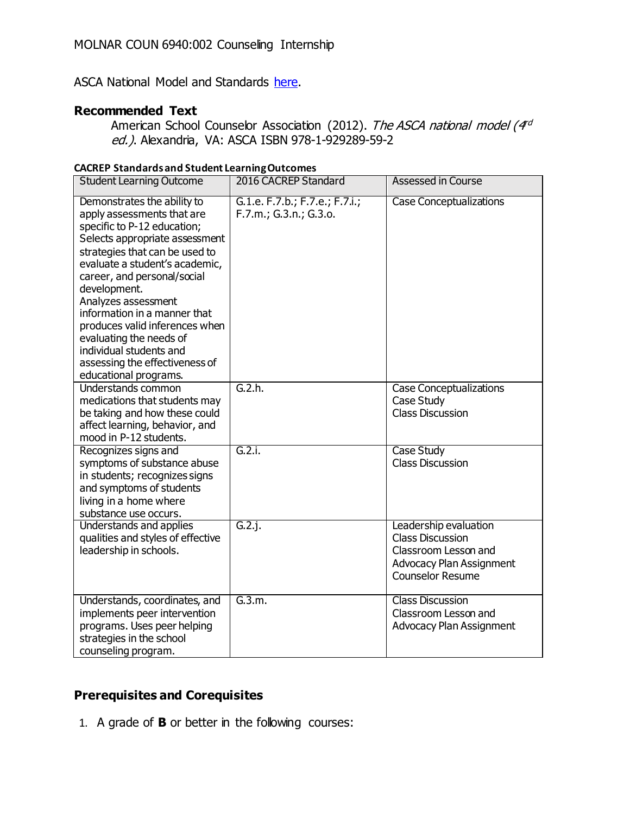ASCA National Model and Standards [here.](https://www.schoolcounselor.org/school-counselors-members/asca-national-model)

## **Recommended Text**

American School Counselor Association (2012). The ASCA national model (4<sup>rd</sup> ed.). Alexandria, VA: ASCA ISBN 978-1-929289-59-2

| <b>CACREP Standards and Student Learning Outcomes</b>                                                                                                                                                                                                                                                                                                                                                                                                   |                                                          |                                                                                                                                        |  |
|---------------------------------------------------------------------------------------------------------------------------------------------------------------------------------------------------------------------------------------------------------------------------------------------------------------------------------------------------------------------------------------------------------------------------------------------------------|----------------------------------------------------------|----------------------------------------------------------------------------------------------------------------------------------------|--|
| <b>Student Learning Outcome</b>                                                                                                                                                                                                                                                                                                                                                                                                                         | 2016 CACREP Standard                                     | <b>Assessed in Course</b>                                                                                                              |  |
| Demonstrates the ability to<br>apply assessments that are<br>specific to P-12 education;<br>Selects appropriate assessment<br>strategies that can be used to<br>evaluate a student's academic,<br>career, and personal/social<br>development.<br>Analyzes assessment<br>information in a manner that<br>produces valid inferences when<br>evaluating the needs of<br>individual students and<br>assessing the effectiveness of<br>educational programs. | G.1.e. F.7.b.; F.7.e.; F.7.i.;<br>F.7.m.; G.3.n.; G.3.o. | <b>Case Conceptualizations</b>                                                                                                         |  |
| Understands common<br>medications that students may<br>be taking and how these could<br>affect learning, behavior, and<br>mood in P-12 students.                                                                                                                                                                                                                                                                                                        | G.2.h.                                                   | <b>Case Conceptualizations</b><br>Case Study<br><b>Class Discussion</b>                                                                |  |
| Recognizes signs and<br>symptoms of substance abuse<br>in students; recognizes signs<br>and symptoms of students<br>living in a home where<br>substance use occurs.                                                                                                                                                                                                                                                                                     | G.2.i.                                                   | <b>Case Study</b><br><b>Class Discussion</b>                                                                                           |  |
| Understands and applies<br>qualities and styles of effective<br>leadership in schools.                                                                                                                                                                                                                                                                                                                                                                  | G.2.i.                                                   | Leadership evaluation<br><b>Class Discussion</b><br>Classroom Lesson and<br><b>Advocacy Plan Assignment</b><br><b>Counselor Resume</b> |  |
| Understands, coordinates, and<br>implements peer intervention<br>programs. Uses peer helping<br>strategies in the school                                                                                                                                                                                                                                                                                                                                | G.3.m.                                                   | <b>Class Discussion</b><br>Classroom Lesson and<br><b>Advocacy Plan Assignment</b>                                                     |  |

## **Prerequisites and Corequisites**

counseling program.

1. A grade of **B** or better in the following courses: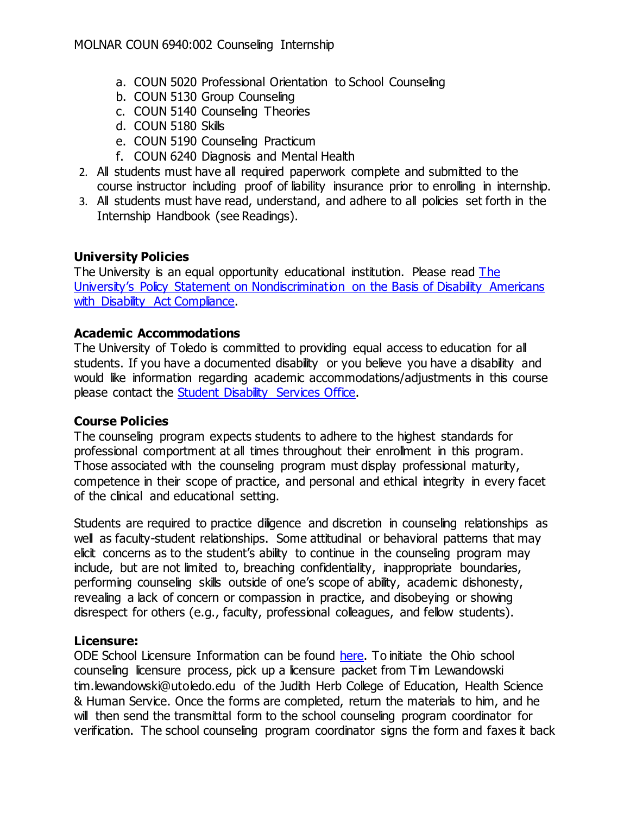- a. COUN 5020 Professional Orientation to School Counseling
- b. COUN 5130 Group Counseling
- c. COUN 5140 Counseling Theories
- d. COUN 5180 Skills
- e. COUN 5190 Counseling Practicum
- f. COUN 6240 Diagnosis and Mental Health
- 2. All students must have all required paperwork complete and submitted to the course instructor including proof of liability insurance prior to enrolling in internship.
- 3. All students must have read, understand, and adhere to all policies set forth in the Internship Handbook (see Readings).

# **University Policies**

The University is an equal opportunity educational institution. Please read The [University's Policy Statement on Nondiscrimination on the Basis of Disability Americans](http://www.utoledo.edu/policies/administration/diversity/pdfs/3364_50_03_Nondiscrimination_o.pdf)  [with Disability Act Compliance.](http://www.utoledo.edu/policies/administration/diversity/pdfs/3364_50_03_Nondiscrimination_o.pdf)

# **Academic Accommodations**

The University of Toledo is committed to providing equal access to education for all students. If you have a documented disability or you believe you have a disability and would like information regarding academic accommodations/adjustments in this course please contact the [Student Disability Services Office.](http://www.utoledo.edu/offices/student-disability-services/index.html)

# **Course Policies**

The counseling program expects students to adhere to the highest standards for professional comportment at all times throughout their enrollment in this program. Those associated with the counseling program must display professional maturity, competence in their scope of practice, and personal and ethical integrity in every facet of the clinical and educational setting.

Students are required to practice diligence and discretion in counseling relationships as well as faculty-student relationships. Some attitudinal or behavioral patterns that may elicit concerns as to the student's ability to continue in the counseling program may include, but are not limited to, breaching confidentiality, inappropriate boundaries, performing counseling skills outside of one's scope of ability, academic dishonesty, revealing a lack of concern or compassion in practice, and disobeying or showing disrespect for others (e.g., faculty, professional colleagues, and fellow students).

# **Licensure:**

ODE School Licensure Information can be found [here.](https://ohioschoolcounselor.org/page-1137439) To initiate the Ohio school counseling licensure process, pick up a licensure packet from Tim Lewandowski tim.lewandowski@utoledo.edu of the Judith Herb College of Education, Health Science & Human Service. Once the forms are completed, return the materials to him, and he will then send the transmittal form to the school counseling program coordinator for verification. The school counseling program coordinator signs the form and faxes it back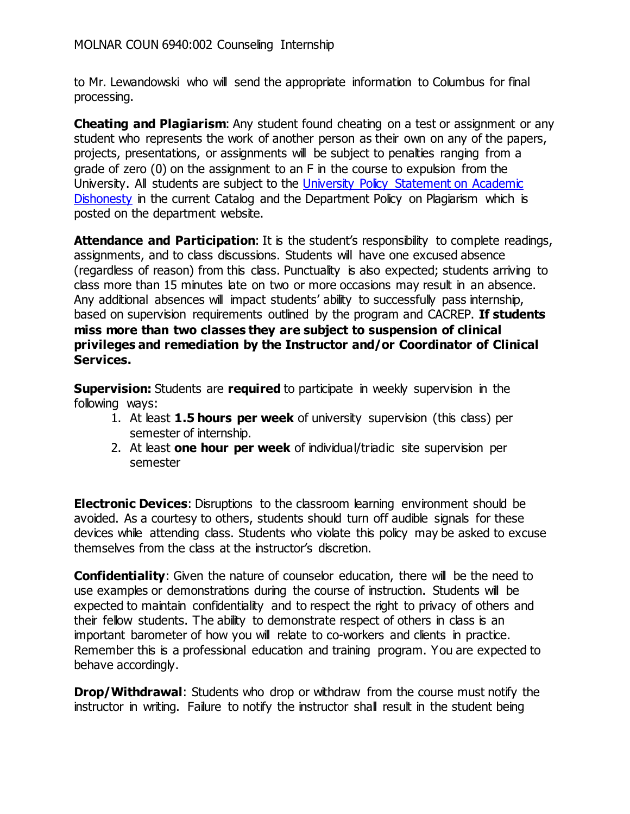to Mr. Lewandowski who will send the appropriate information to Columbus for final processing.

**Cheating and Plagiarism**: Any student found cheating on a test or assignment or any student who represents the work of another person as their own on any of the papers, projects, presentations, or assignments will be subject to penalties ranging from a grade of zero (0) on the assignment to an F in the course to expulsion from the University. All students are subject to the [University Policy Statement on Academic](https://www.utoledo.edu/dl/students/dishonesty.html)  [Dishonesty](https://www.utoledo.edu/dl/students/dishonesty.html) in the current Catalog and the Department Policy on Plagiarism which is posted on the department website.

**Attendance and Participation:** It is the student's responsibility to complete readings, assignments, and to class discussions. Students will have one excused absence (regardless of reason) from this class. Punctuality is also expected; students arriving to class more than 15 minutes late on two or more occasions may result in an absence. Any additional absences will impact students' ability to successfully pass internship, based on supervision requirements outlined by the program and CACREP. **If students miss more than two classes they are subject to suspension of clinical privileges and remediation by the Instructor and/or Coordinator of Clinical Services.**

**Supervision:** Students are **required** to participate in weekly supervision in the following ways:

- 1. At least **1.5 hours per week** of university supervision (this class) per semester of internship.
- 2. At least **one hour per week** of individual/triadic site supervision per semester

**Electronic Devices:** Disruptions to the classroom learning environment should be avoided. As a courtesy to others, students should turn off audible signals for these devices while attending class. Students who violate this policy may be asked to excuse themselves from the class at the instructor's discretion.

**Confidentiality:** Given the nature of counselor education, there will be the need to use examples or demonstrations during the course of instruction. Students will be expected to maintain confidentiality and to respect the right to privacy of others and their fellow students. The ability to demonstrate respect of others in class is an important barometer of how you will relate to co-workers and clients in practice. Remember this is a professional education and training program. You are expected to behave accordingly.

**Drop/Withdrawal**: Students who drop or withdraw from the course must notify the instructor in writing. Failure to notify the instructor shall result in the student being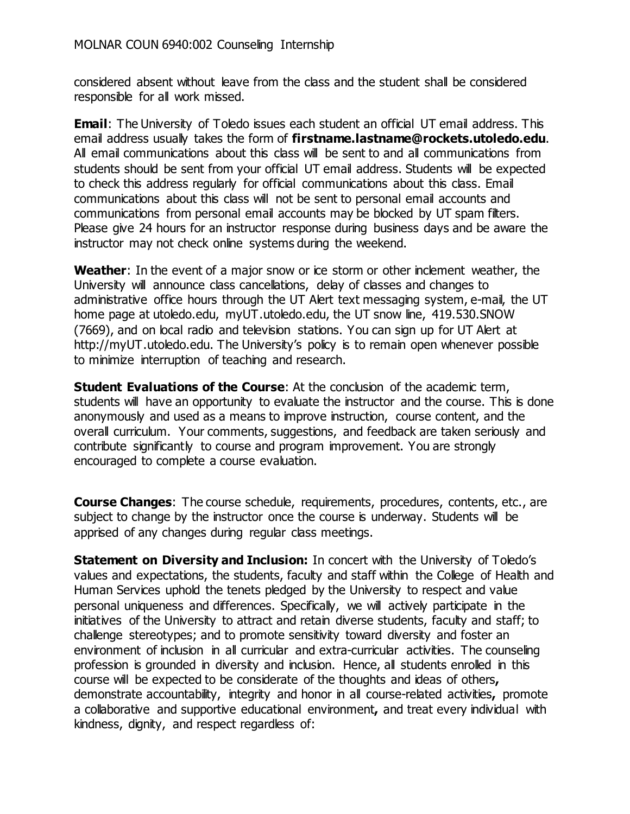considered absent without leave from the class and the student shall be considered responsible for all work missed.

**Email**: The University of Toledo issues each student an official UT email address. This email address usually takes the form of **firstname.lastname@rockets.utoledo.edu**. All email communications about this class will be sent to and all communications from students should be sent from your official UT email address. Students will be expected to check this address regularly for official communications about this class. Email communications about this class will not be sent to personal email accounts and communications from personal email accounts may be blocked by UT spam filters. Please give 24 hours for an instructor response during business days and be aware the instructor may not check online systems during the weekend.

**Weather**: In the event of a major snow or ice storm or other inclement weather, the University will announce class cancellations, delay of classes and changes to administrative office hours through the UT Alert text messaging system, e-mail, the UT home page at utoledo.edu, myUT.utoledo.edu, the UT snow line, 419.530.SNOW (7669), and on local radio and television stations. You can sign up for UT Alert at http://myUT.utoledo.edu. The University's policy is to remain open whenever possible to minimize interruption of teaching and research.

**Student Evaluations of the Course:** At the conclusion of the academic term, students will have an opportunity to evaluate the instructor and the course. This is done anonymously and used as a means to improve instruction, course content, and the overall curriculum. Your comments, suggestions, and feedback are taken seriously and contribute significantly to course and program improvement. You are strongly encouraged to complete a course evaluation.

**Course Changes**: The course schedule, requirements, procedures, contents, etc., are subject to change by the instructor once the course is underway. Students will be apprised of any changes during regular class meetings.

**Statement on Diversity and Inclusion:** In concert with the University of Toledo's values and expectations, the students, faculty and staff within the College of Health and Human Services uphold the tenets pledged by the University to respect and value personal uniqueness and differences. Specifically, we will actively participate in the initiatives of the University to attract and retain diverse students, faculty and staff; to challenge stereotypes; and to promote sensitivity toward diversity and foster an environment of inclusion in all curricular and extra-curricular activities. The counseling profession is grounded in diversity and inclusion. Hence, all students enrolled in this course will be expected to be considerate of the thoughts and ideas of others**,**  demonstrate accountability, integrity and honor in all course-related activities**,** promote a collaborative and supportive educational environment**,** and treat every individual with kindness, dignity, and respect regardless of: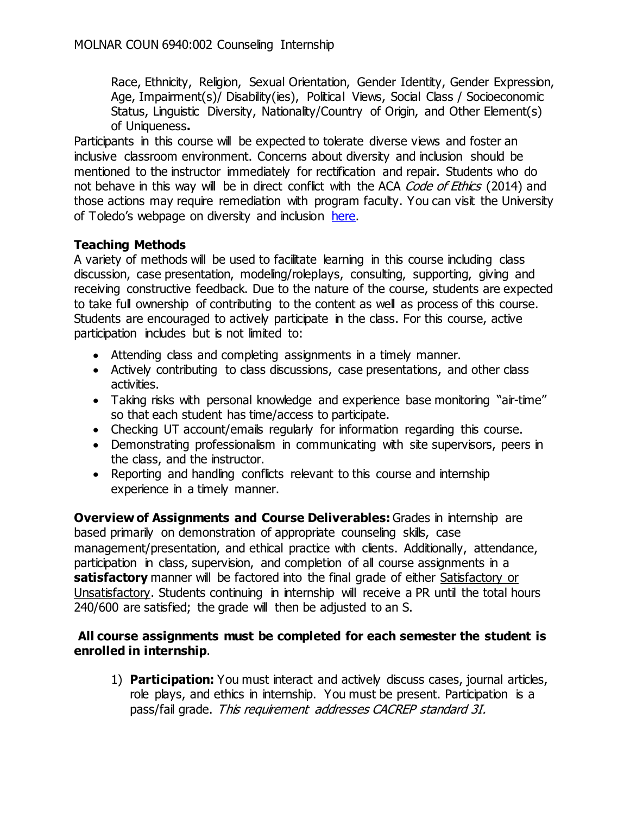Race, Ethnicity, Religion, Sexual Orientation, Gender Identity, Gender Expression, Age, Impairment(s)/ Disability(ies), Political Views, Social Class / Socioeconomic Status, Linguistic Diversity, Nationality/Country of Origin, and Other Element(s) of Uniqueness**.**

Participants in this course will be expected to tolerate diverse views and foster an inclusive classroom environment. Concerns about diversity and inclusion should be mentioned to the instructor immediately for rectification and repair. Students who do not behave in this way will be in direct conflict with the ACA Code of Ethics (2014) and those actions may require remediation with program faculty. You can visit the University of Toledo's webpage on diversity and inclusion [here.](http://www.utoledo.edu/diversity/)

# **Teaching Methods**

A variety of methods will be used to facilitate learning in this course including class discussion, case presentation, modeling/roleplays, consulting, supporting, giving and receiving constructive feedback. Due to the nature of the course, students are expected to take full ownership of contributing to the content as well as process of this course. Students are encouraged to actively participate in the class. For this course, active participation includes but is not limited to:

- Attending class and completing assignments in a timely manner.
- Actively contributing to class discussions, case presentations, and other class activities.
- Taking risks with personal knowledge and experience base monitoring "air-time" so that each student has time/access to participate.
- Checking UT account/emails regularly for information regarding this course.
- Demonstrating professionalism in communicating with site supervisors, peers in the class, and the instructor.
- Reporting and handling conflicts relevant to this course and internship experience in a timely manner.

**Overview of Assignments and Course Deliverables:** Grades in internship are based primarily on demonstration of appropriate counseling skills, case management/presentation, and ethical practice with clients. Additionally, attendance, participation in class, supervision, and completion of all course assignments in a **satisfactory** manner will be factored into the final grade of either Satisfactory or Unsatisfactory. Students continuing in internship will receive a PR until the total hours 240/600 are satisfied; the grade will then be adjusted to an S.

## **All course assignments must be completed for each semester the student is enrolled in internship**.

1) **Participation:** You must interact and actively discuss cases, journal articles, role plays, and ethics in internship. You must be present. Participation is a pass/fail grade. This requirement addresses CACREP standard 3I.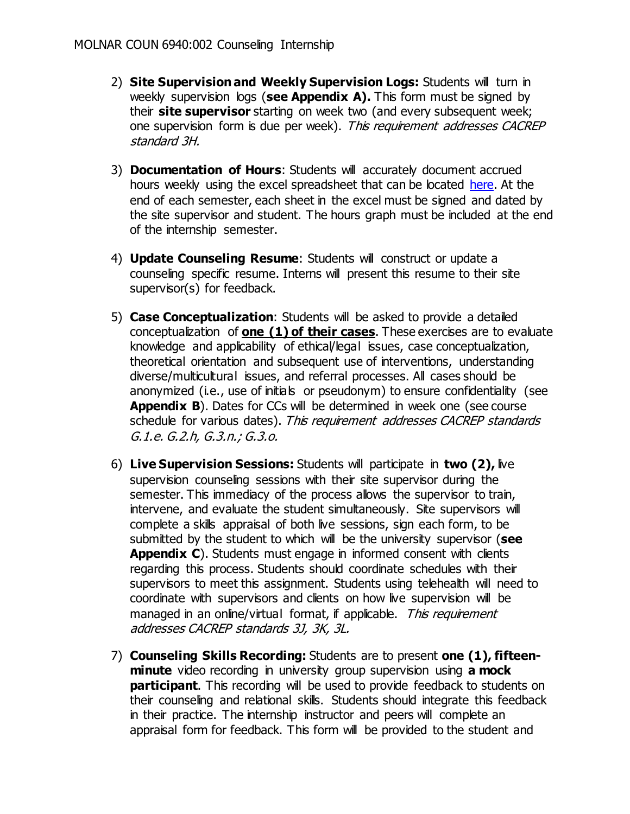- 2) **Site Supervision and Weekly Supervision Logs:** Students will turn in weekly supervision logs (see Appendix A). This form must be signed by their **site supervisor** starting on week two (and every subsequent week; one supervision form is due per week). This requirement addresses CACREP standard 3H.
- 3) **Documentation of Hours**: Students will accurately document accrued hours weekly using the excel spreadsheet that can be located [here.](https://www.utoledo.edu/hhs/counselor-education/4Students/4Students.html) At the end of each semester, each sheet in the excel must be signed and dated by the site supervisor and student. The hours graph must be included at the end of the internship semester.
- 4) **Update Counseling Resume**: Students will construct or update a counseling specific resume. Interns will present this resume to their site supervisor(s) for feedback.
- 5) **Case Conceptualization**: Students will be asked to provide a detailed conceptualization of **one (1) of their cases**. These exercises are to evaluate knowledge and applicability of ethical/legal issues, case conceptualization, theoretical orientation and subsequent use of interventions, understanding diverse/multicultural issues, and referral processes. All cases should be anonymized (i.e., use of initials or pseudonym) to ensure confidentiality (see **Appendix B**). Dates for CCs will be determined in week one (see course schedule for various dates). This requirement addresses CACREP standards G.1.e. G.2.h, G.3.n.; G.3.o.
- 6) **Live Supervision Sessions:** Students will participate in **two (2),** live supervision counseling sessions with their site supervisor during the semester. This immediacy of the process allows the supervisor to train, intervene, and evaluate the student simultaneously. Site supervisors will complete a skills appraisal of both live sessions, sign each form, to be submitted by the student to which will be the university supervisor (**see**  Appendix C). Students must engage in informed consent with clients regarding this process. Students should coordinate schedules with their supervisors to meet this assignment. Students using telehealth will need to coordinate with supervisors and clients on how live supervision will be managed in an online/virtual format, if applicable. This requirement addresses CACREP standards 3J, 3K, 3L.
- 7) **Counseling Skills Recording:** Students are to present **one (1), fifteenminute** video recording in university group supervision using **a mock participant.** This recording will be used to provide feedback to students on their counseling and relational skills. Students should integrate this feedback in their practice. The internship instructor and peers will complete an appraisal form for feedback. This form will be provided to the student and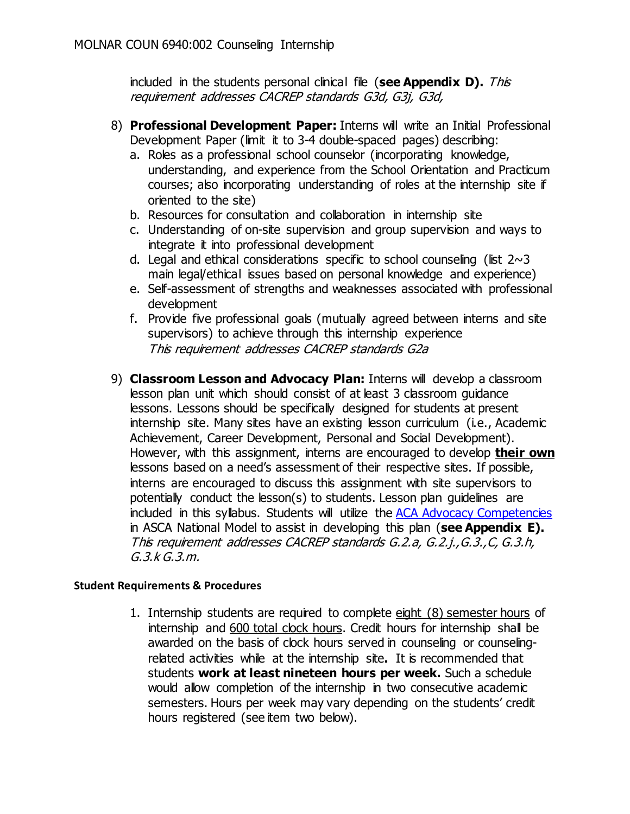included in the students personal clinical file (see Appendix D). This requirement addresses CACREP standards G3d, G3j, G3d,

- 8) **Professional Development Paper:** Interns will write an Initial Professional Development Paper (limit it to 3-4 double-spaced pages) describing:
	- a. Roles as a professional school counselor (incorporating knowledge, understanding, and experience from the School Orientation and Practicum courses; also incorporating understanding of roles at the internship site if oriented to the site)
	- b. Resources for consultation and collaboration in internship site
	- c. Understanding of on-site supervision and group supervision and ways to integrate it into professional development
	- d. Legal and ethical considerations specific to school counseling (list  $2~3$ main legal/ethical issues based on personal knowledge and experience)
	- e. Self-assessment of strengths and weaknesses associated with professional development
	- f. Provide five professional goals (mutually agreed between interns and site supervisors) to achieve through this internship experience This requirement addresses CACREP standards G2a
- 9) **Classroom Lesson and Advocacy Plan:** Interns will develop a classroom lesson plan unit which should consist of at least 3 classroom guidance lessons. Lessons should be specifically designed for students at present internship site. Many sites have an existing lesson curriculum (i.e., Academic Achievement, Career Development, Personal and Social Development). However, with this assignment, interns are encouraged to develop **their own** lessons based on a need's assessment of their respective sites. If possible, interns are encouraged to discuss this assignment with site supervisors to potentially conduct the lesson(s) to students. Lesson plan guidelines are included in this syllabus. Students will utilize the [ACA Advocacy Competencies](https://www.counseling.org/docs/default-source/competencies/aca-2018-advocacy-competencies.pdf?sfvrsn=1dca552c_6) in ASCA National Model to assist in developing this plan (**see Appendix E).** This requirement addresses CACREP standards G.2.a, G.2.j.,G.3.,C, G.3.h, G.3.k G.3.m.

## **Student Requirements & Procedures**

1. Internship students are required to complete eight (8) semester hours of internship and 600 total clock hours. Credit hours for internship shall be awarded on the basis of clock hours served in counseling or counselingrelated activities while at the internship site**.** It is recommended that students **work at least nineteen hours per week.** Such a schedule would allow completion of the internship in two consecutive academic semesters. Hours per week may vary depending on the students' credit hours registered (see item two below).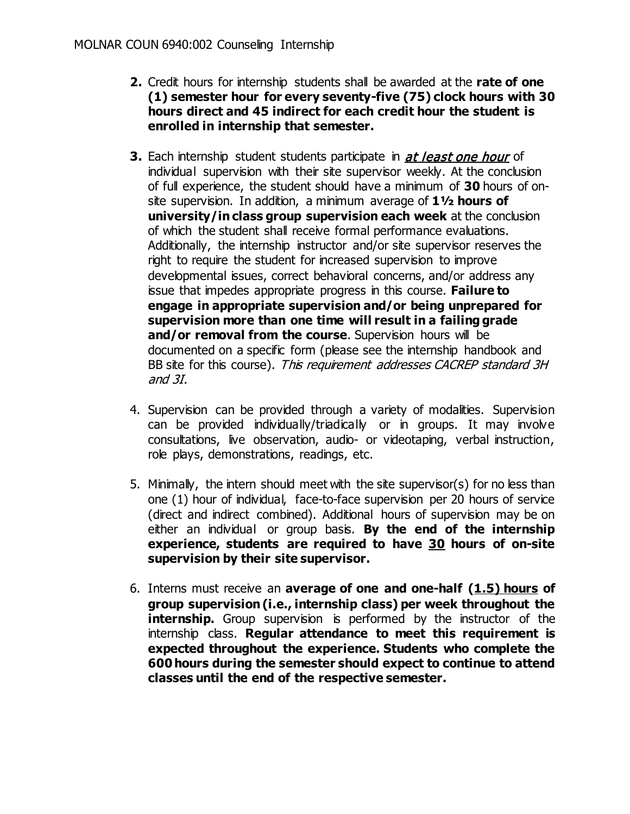- **2.** Credit hours for internship students shall be awarded at the **rate of one (1) semester hour for every seventy-five (75) clock hours with 30 hours direct and 45 indirect for each credit hour the student is enrolled in internship that semester.**
- **3.** Each internship student students participate in *at least one hour* of individual supervision with their site supervisor weekly. At the conclusion of full experience, the student should have a minimum of **30** hours of onsite supervision. In addition, a minimum average of **1½ hours of university/in class group supervision each week** at the conclusion of which the student shall receive formal performance evaluations. Additionally, the internship instructor and/or site supervisor reserves the right to require the student for increased supervision to improve developmental issues, correct behavioral concerns, and/or address any issue that impedes appropriate progress in this course. **Failure to engage in appropriate supervision and/or being unprepared for supervision more than one time will result in a failing grade**  and/or removal from the course. Supervision hours will be documented on a specific form (please see the internship handbook and BB site for this course). This requirement addresses CACREP standard 3H and 3I.
- 4. Supervision can be provided through a variety of modalities. Supervision can be provided individually/triadically or in groups. It may involve consultations, live observation, audio- or videotaping, verbal instruction, role plays, demonstrations, readings, etc.
- 5. Minimally, the intern should meet with the site supervisor(s) for no less than one (1) hour of individual, face-to-face supervision per 20 hours of service (direct and indirect combined). Additional hours of supervision may be on either an individual or group basis. **By the end of the internship experience, students are required to have 30 hours of on-site supervision by their site supervisor.**
- 6. Interns must receive an **average of one and one-half (1.5) hours of group supervision (i.e., internship class) per week throughout the internship.** Group supervision is performed by the instructor of the internship class. **Regular attendance to meet this requirement is expected throughout the experience. Students who complete the 600 hours during the semester should expect to continue to attend classes until the end of the respective semester.**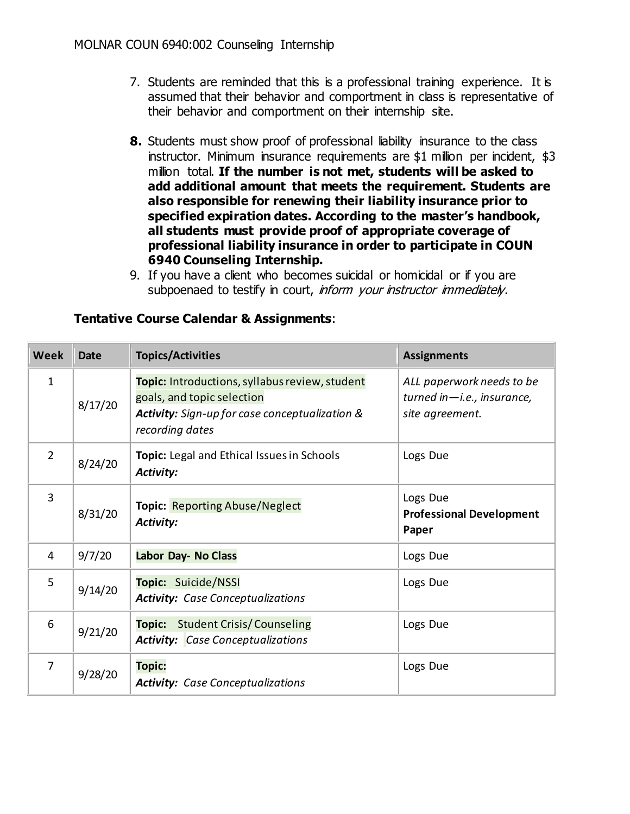- 7. Students are reminded that this is a professional training experience. It is assumed that their behavior and comportment in class is representative of their behavior and comportment on their internship site.
- **8.** Students must show proof of professional liability insurance to the class instructor. Minimum insurance requirements are \$1 million per incident, \$3 million total. **If the number is not met, students will be asked to add additional amount that meets the requirement. Students are also responsible for renewing their liability insurance prior to specified expiration dates. According to the master's handbook, all students must provide proof of appropriate coverage of professional liability insurance in order to participate in COUN 6940 Counseling Internship.**
- 9. If you have a client who becomes suicidal or homicidal or if you are subpoenaed to testify in court, inform your instructor immediately.

| <b>Week</b>    | <b>Date</b> | <b>Topics/Activities</b>                                                                                                                          | <b>Assignments</b>                                                         |
|----------------|-------------|---------------------------------------------------------------------------------------------------------------------------------------------------|----------------------------------------------------------------------------|
| $\mathbf{1}$   | 8/17/20     | Topic: Introductions, syllabus review, student<br>goals, and topic selection<br>Activity: Sign-up for case conceptualization &<br>recording dates | ALL paperwork needs to be<br>turned in—i.e., insurance,<br>site agreement. |
| $\overline{2}$ | 8/24/20     | Topic: Legal and Ethical Issues in Schools<br>Activity:                                                                                           | Logs Due                                                                   |
| 3              | 8/31/20     | <b>Topic: Reporting Abuse/Neglect</b><br>Activity:                                                                                                | Logs Due<br><b>Professional Development</b><br>Paper                       |
| $\overline{4}$ | 9/7/20      | <b>Labor Day- No Class</b>                                                                                                                        | Logs Due                                                                   |
| 5              | 9/14/20     | Topic: Suicide/NSSI<br><b>Activity:</b> Case Conceptualizations                                                                                   | Logs Due                                                                   |
| 6              | 9/21/20     | <b>Student Crisis/Counseling</b><br><b>Topic:</b><br><b>Activity:</b> Case Conceptualizations                                                     | Logs Due                                                                   |
| 7              | 9/28/20     | <b>Topic:</b><br><b>Activity:</b> Case Conceptualizations                                                                                         | Logs Due                                                                   |

## **Tentative Course Calendar & Assignments**: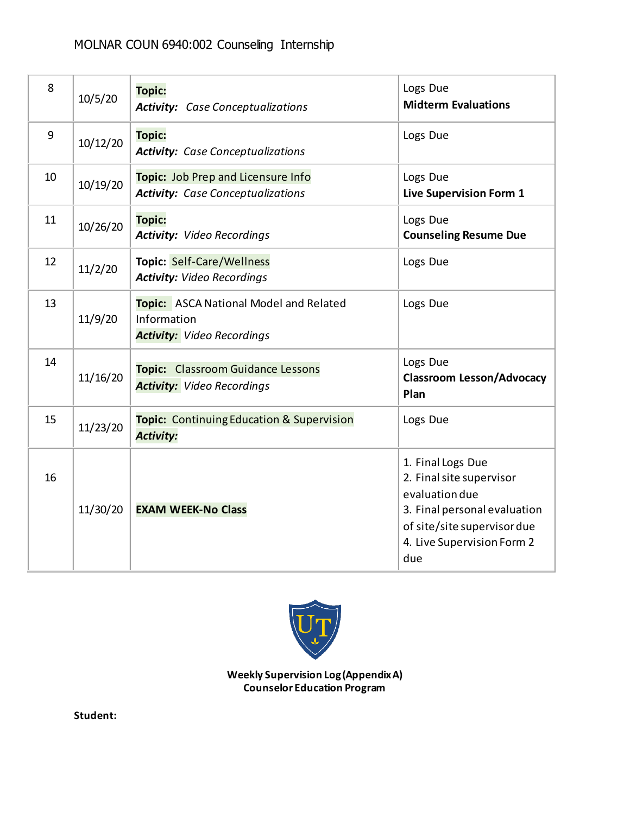# MOLNAR COUN 6940:002 Counseling Internship

| 8  | 10/5/20  | <b>Topic:</b><br><b>Activity:</b> Case Conceptualizations                                         | Logs Due<br><b>Midterm Evaluations</b>                                                                                                                              |
|----|----------|---------------------------------------------------------------------------------------------------|---------------------------------------------------------------------------------------------------------------------------------------------------------------------|
| 9  | 10/12/20 | <b>Topic:</b><br><b>Activity:</b> Case Conceptualizations                                         | Logs Due                                                                                                                                                            |
| 10 | 10/19/20 | Topic: Job Prep and Licensure Info<br><b>Activity:</b> Case Conceptualizations                    | Logs Due<br>Live Supervision Form 1                                                                                                                                 |
| 11 | 10/26/20 | <b>Topic:</b><br><b>Activity: Video Recordings</b>                                                | Logs Due<br><b>Counseling Resume Due</b>                                                                                                                            |
| 12 | 11/2/20  | <b>Topic: Self-Care/Wellness</b><br><b>Activity: Video Recordings</b>                             | Logs Due                                                                                                                                                            |
| 13 | 11/9/20  | <b>Topic:</b> ASCA National Model and Related<br>Information<br><b>Activity:</b> Video Recordings | Logs Due                                                                                                                                                            |
| 14 | 11/16/20 | <b>Topic:</b> Classroom Guidance Lessons<br><b>Activity:</b> Video Recordings                     | Logs Due<br><b>Classroom Lesson/Advocacy</b><br>Plan                                                                                                                |
| 15 | 11/23/20 | <b>Topic:</b> Continuing Education & Supervision<br><b>Activity:</b>                              | Logs Due                                                                                                                                                            |
| 16 | 11/30/20 | <b>EXAM WEEK-No Class</b>                                                                         | 1. Final Logs Due<br>2. Final site supervisor<br>evaluation due<br>3. Final personal evaluation<br>of site/site supervisor due<br>4. Live Supervision Form 2<br>due |



**Weekly Supervision Log(Appendix A) Counselor Education Program** 

**Student:**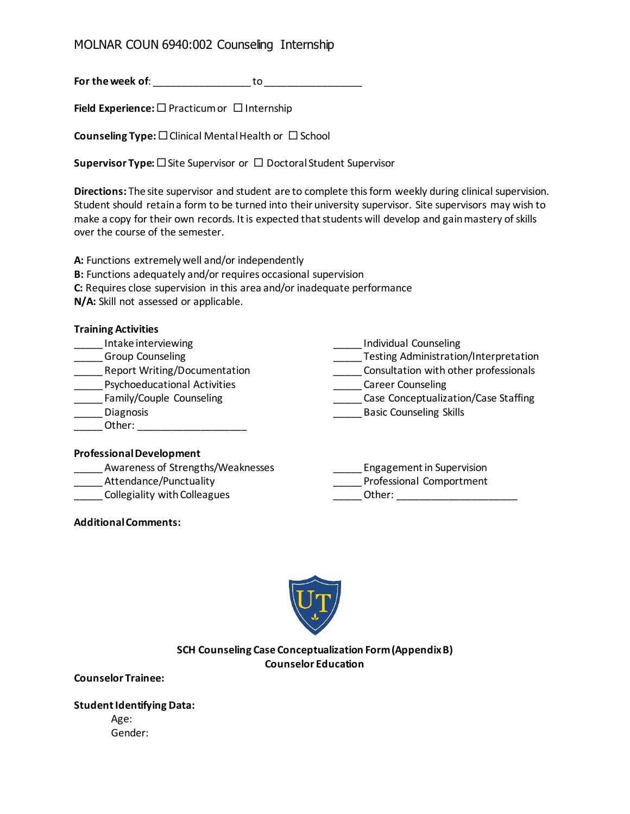# MOLNAR COUN 6940:002 Counseling Internship

**For the week of**: \_\_\_\_\_\_\_\_\_\_\_\_\_\_\_\_\_ to \_\_\_\_\_\_\_\_\_\_\_\_\_\_\_\_\_

**Field Experience:** □ Practicum or □ Internship

**Counseling Type:**  $\square$  Clinical Mental Health or  $\square$  School

**Supervisor Type:** □ Site Supervisor or □ Doctoral Student Supervisor

**Directions:** The site supervisor and student are to complete this form weekly during clinical supervision. Student should retain a form to be turned into their university supervisor. Site supervisors may wish to make a copy for their own records. It is expected that students will develop and gain mastery of skills over the course of the semester.

**A:** Functions extremely well and/or independently

- **B:** Functions adequately and/or requires occasional supervision
- **C:** Requires close supervision in this area and/or inadequate performance

**N/A:** Skill not assessed or applicable.

| <b>Training Activities</b>          |                                       |
|-------------------------------------|---------------------------------------|
| Intake interviewing                 | <b>Individual Counseling</b>          |
| <b>Group Counseling</b>             | Testing Administration/Interpretation |
| Report Writing/Documentation        | Consultation with other professionals |
| <b>Psychoeducational Activities</b> | <b>Career Counseling</b>              |
| Family/Couple Counseling            | Case Conceptualization/Case Staffing  |
| Diagnosis                           | <b>Basic Counseling Skills</b>        |
| Other:                              |                                       |
|                                     |                                       |

#### **Professional Development**

| Awareness of Strengths/Weaknesses | Engagement in Supervision |
|-----------------------------------|---------------------------|
| Attendance/Punctuality            | Professional Comportment  |
| Collegiality with Colleagues      | Other:                    |

**Additional Comments:**



#### **SCH Counseling Case Conceptualization Form (Appendix B) Counselor Education**

**Counselor Trainee:** 

#### **Student Identifying Data:**

Age: Gender: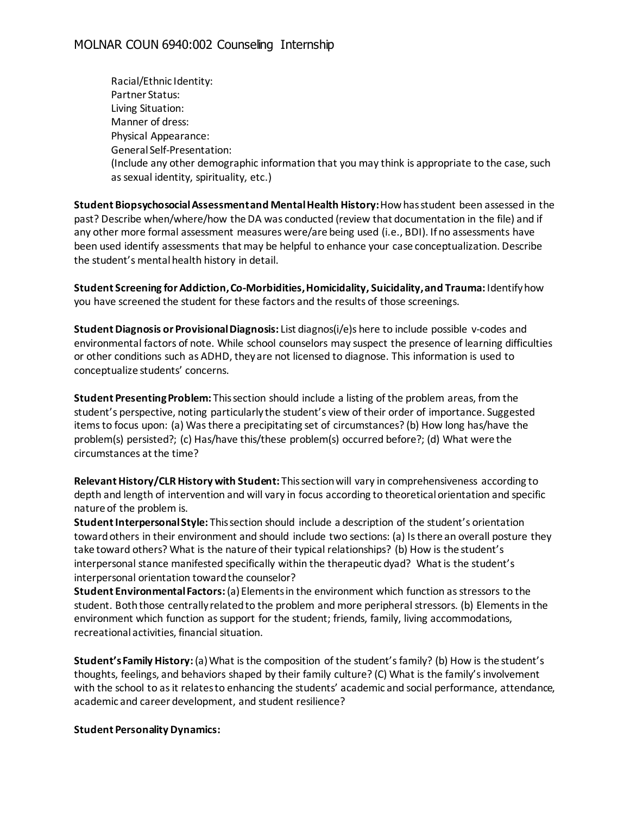Racial/Ethnic Identity: Partner Status: Living Situation: Manner of dress: Physical Appearance: General Self-Presentation: (Include any other demographic information that you may think is appropriate to the case, such as sexual identity, spirituality, etc.)

**Student Biopsychosocial Assessment and Mental Health History:** How has student been assessed in the past? Describe when/where/how the DA was conducted (review that documentation in the file) and if any other more formal assessment measures were/are being used (i.e., BDI). If no assessments have been used identify assessments that may be helpful to enhance your case conceptualization. Describe the student's mental health history in detail.

**Student Screening for Addiction, Co-Morbidities, Homicidality, Suicidality, and Trauma:** Identify how you have screened the student for these factors and the results of those screenings.

**Student Diagnosis or Provisional Diagnosis:** List diagnos(i/e)s here to include possible v-codes and environmental factors of note. While school counselors may suspect the presence of learning difficulties or other conditions such as ADHD, they are not licensed to diagnose. This information is used to conceptualize students' concerns.

**Student Presenting Problem:** This section should include a listing of the problem areas, from the student's perspective, noting particularly the student's view of their order of importance. Suggested items to focus upon: (a) Was there a precipitating set of circumstances? (b) How long has/have the problem(s) persisted?; (c) Has/have this/these problem(s) occurred before?; (d) What were the circumstances at the time?

**Relevant History/CLR History with Student:** This section will vary in comprehensiveness according to depth and length of intervention and will vary in focus according to theoretical orientation and specific nature of the problem is.

**Student Interpersonal Style:** This section should include a description of the student's orientation toward others in their environment and should include two sections: (a) Is there an overall posture they take toward others? What is the nature of their typical relationships? (b) How is the student's interpersonal stance manifested specifically within the therapeutic dyad? What is the student's interpersonal orientation toward the counselor?

**Student Environmental Factors:** (a) Elements in the environment which function as stressors to the student. Both those centrally related to the problem and more peripheral stressors. (b) Elements in the environment which function as support for the student; friends, family, living accommodations, recreational activities, financial situation.

**Student's Family History:** (a) What is the composition of the student's family? (b) How is the student's thoughts, feelings, and behaviors shaped by their family culture? (C) What is the family's involvement with the school to as it relates to enhancing the students' academic and social performance, attendance, academic and career development, and student resilience?

#### **Student Personality Dynamics:**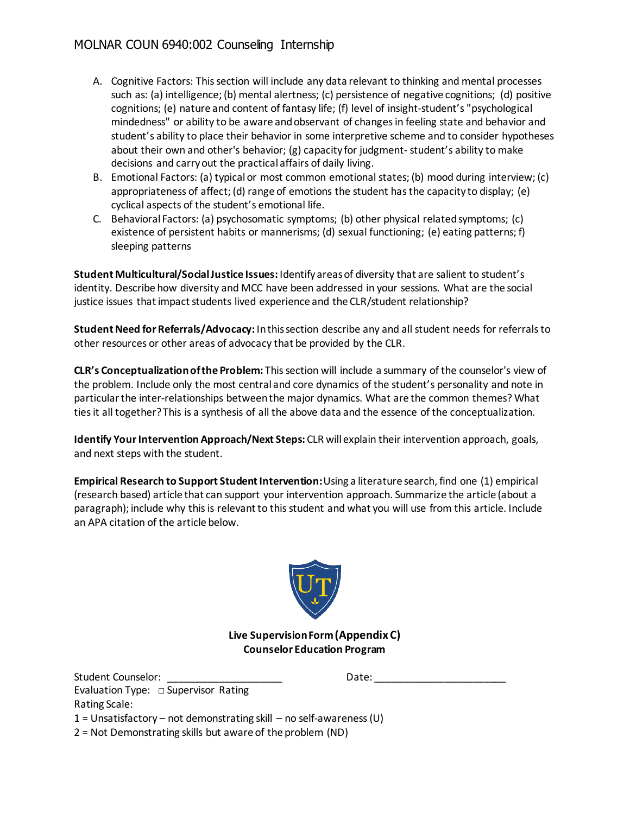- A. Cognitive Factors: This section will include any data relevant to thinking and mental processes such as: (a) intelligence; (b) mental alertness; (c) persistence of negative cognitions; (d) positive cognitions; (e) nature and content of fantasy life; (f) level of insight-student's "psychological mindedness" or ability to be aware and observant of changes in feeling state and behavior and student's ability to place their behavior in some interpretive scheme and to consider hypotheses about their own and other's behavior; (g) capacity for judgment-student's ability to make decisions and carry out the practical affairs of daily living.
- B. Emotional Factors: (a) typical or most common emotional states; (b) mood during interview; (c) appropriateness of affect; (d) range of emotions the student has the capacity to display; (e) cyclical aspects of the student's emotional life.
- C. Behavioral Factors: (a) psychosomatic symptoms; (b) other physical related symptoms; (c) existence of persistent habits or mannerisms; (d) sexual functioning; (e) eating patterns; f) sleeping patterns

**Student Multicultural/Social Justice Issues:** Identify areas of diversity that are salient to student's identity. Describe how diversity and MCC have been addressed in your sessions. What are the social justice issues that impact students lived experience and the CLR/student relationship?

**Student Need for Referrals/Advocacy:** In this section describe any and all student needs for referrals to other resources or other areas of advocacy that be provided by the CLR.

**CLR's Conceptualization of the Problem:** This section will include a summary of the counselor's view of the problem. Include only the most central and core dynamics of the student's personality and note in particular the inter-relationships between the major dynamics. What are the common themes? What ties it all together? This is a synthesis of all the above data and the essence of the conceptualization.

**Identify Your Intervention Approach/Next Steps:** CLR will explain their intervention approach, goals, and next steps with the student.

**Empirical Research to Support Student Intervention:** Using a literature search, find one (1) empirical (research based) article that can support your intervention approach. Summarize the article (about a paragraph); include why this is relevant to this student and what you will use from this article. Include an APA citation of the article below.



#### **Live Supervision Form (Appendix C) Counselor Education Program**

| Student Counselor:                                                   | Date: |
|----------------------------------------------------------------------|-------|
| Evaluation Type: $\Box$ Supervisor Rating                            |       |
| Rating Scale:                                                        |       |
| 1 = Unsatisfactory – not demonstrating skill – no self-awareness (U) |       |
| 2 = Not Demonstrating skills but aware of the problem (ND)           |       |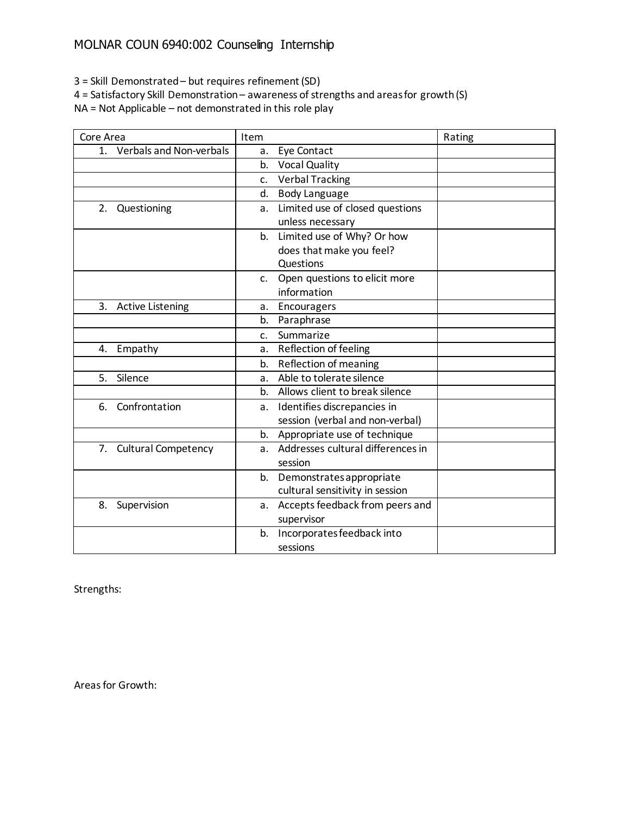3 = Skill Demonstrated – but requires refinement (SD)

4 = Satisfactory Skill Demonstration – awareness of strengths and areas for growth (S)

NA = Not Applicable – not demonstrated in this role play

| Core Area                     | Item                                            | Rating |
|-------------------------------|-------------------------------------------------|--------|
| Verbals and Non-verbals<br>1. | Eye Contact<br>a.                               |        |
|                               | <b>Vocal Quality</b><br>b.                      |        |
|                               | <b>Verbal Tracking</b><br>c.                    |        |
|                               | <b>Body Language</b><br>d.                      |        |
| Questioning<br>2.             | Limited use of closed questions<br>а.           |        |
|                               | unless necessary                                |        |
|                               | Limited use of Why? Or how<br>b.                |        |
|                               | does that make you feel?                        |        |
|                               | Questions                                       |        |
|                               | Open questions to elicit more<br>$\mathsf{C}$ . |        |
|                               | information                                     |        |
| <b>Active Listening</b><br>3. | Encouragers<br>а.                               |        |
|                               | Paraphrase<br>b.                                |        |
|                               | Summarize<br>C.                                 |        |
| Empathy<br>4.                 | Reflection of feeling<br>a.                     |        |
|                               | Reflection of meaning<br>b.                     |        |
| Silence<br>5.                 | Able to tolerate silence<br>a.                  |        |
|                               | Allows client to break silence<br>b.            |        |
| Confrontation<br>6.           | Identifies discrepancies in<br>а.               |        |
|                               | session (verbal and non-verbal)                 |        |
|                               | Appropriate use of technique<br>b.              |        |
| 7. Cultural Competency        | Addresses cultural differences in<br>a.         |        |
|                               | session                                         |        |
|                               | Demonstrates appropriate<br>b.                  |        |
|                               | cultural sensitivity in session                 |        |
| 8.<br>Supervision             | Accepts feedback from peers and<br>а.           |        |
|                               | supervisor                                      |        |
|                               | Incorporates feedback into<br>b.                |        |
|                               | sessions                                        |        |

Strengths:

Areas for Growth: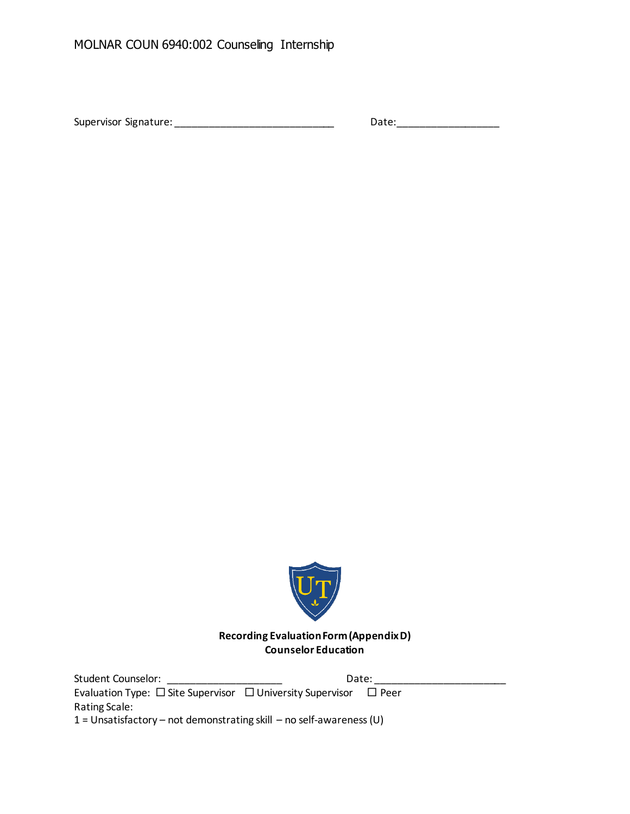Supervisor Signature: \_\_\_\_\_\_\_\_\_\_\_\_\_\_\_\_\_\_\_\_\_\_\_\_\_\_\_\_\_\_\_\_\_\_\_ Date: \_\_\_\_\_\_\_\_\_\_\_\_\_\_\_\_



**Recording Evaluation Form (Appendix D) Counselor Education**

Student Counselor: \_\_\_\_\_\_\_\_\_\_\_\_\_\_\_\_\_\_\_\_ Date: \_\_\_\_\_\_\_\_\_\_\_\_\_\_\_\_\_\_\_\_\_\_\_ Evaluation Type:  $\square$  Site Supervisor  $\square$  University Supervisor  $\square$  Peer Rating Scale: 1 = Unsatisfactory – not demonstrating skill – no self-awareness (U)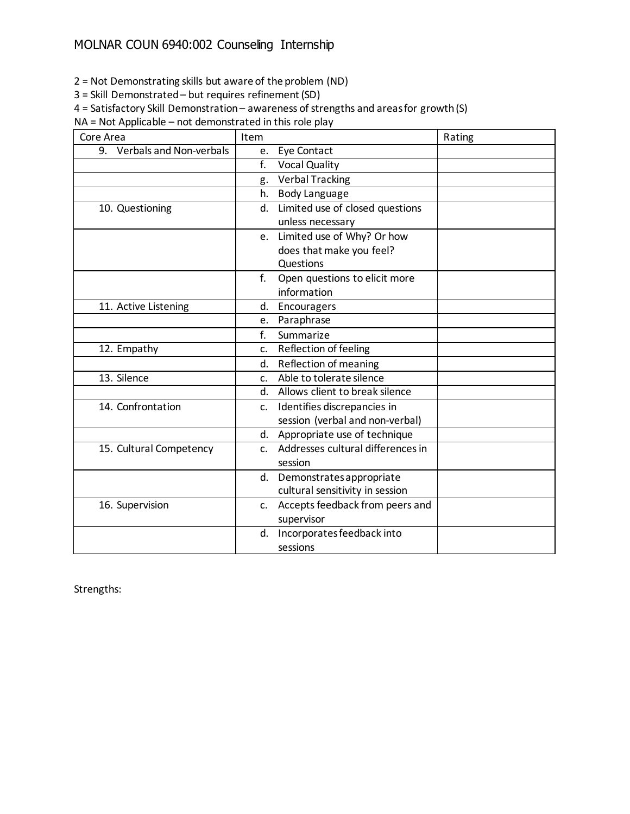2 = Not Demonstrating skills but aware of the problem (ND)

3 = Skill Demonstrated – but requires refinement (SD)

4 = Satisfactory Skill Demonstration – awareness of strengths and areas for growth (S)

NA = Not Applicable – not demonstrated in this role play

| Core Area                  | Item                                          | Rating |
|----------------------------|-----------------------------------------------|--------|
| 9. Verbals and Non-verbals | Eye Contact<br>e.                             |        |
|                            | f.<br><b>Vocal Quality</b>                    |        |
|                            | <b>Verbal Tracking</b><br>g.                  |        |
|                            | <b>Body Language</b><br>h.                    |        |
| 10. Questioning            | Limited use of closed questions<br>d.         |        |
|                            | unless necessary                              |        |
|                            | Limited use of Why? Or how<br>e.              |        |
|                            | does that make you feel?                      |        |
|                            | Questions                                     |        |
|                            | f.<br>Open questions to elicit more           |        |
|                            | information                                   |        |
| 11. Active Listening       | d.<br>Encouragers                             |        |
|                            | Paraphrase<br>e.                              |        |
|                            | f.<br>Summarize                               |        |
| 12. Empathy                | Reflection of feeling<br>c.                   |        |
|                            | Reflection of meaning<br>d.                   |        |
| 13. Silence                | Able to tolerate silence<br>C <sub>1</sub>    |        |
|                            | Allows client to break silence<br>d.          |        |
| 14. Confrontation          | Identifies discrepancies in<br>$\mathsf{C}$ . |        |
|                            | session (verbal and non-verbal)               |        |
|                            | Appropriate use of technique<br>d.            |        |
| 15. Cultural Competency    | Addresses cultural differences in<br>C.       |        |
|                            | session                                       |        |
|                            | d. Demonstrates appropriate                   |        |
|                            | cultural sensitivity in session               |        |
| 16. Supervision            | Accepts feedback from peers and<br>c.         |        |
|                            | supervisor                                    |        |
|                            | Incorporates feedback into<br>d.              |        |
|                            | sessions                                      |        |

Strengths: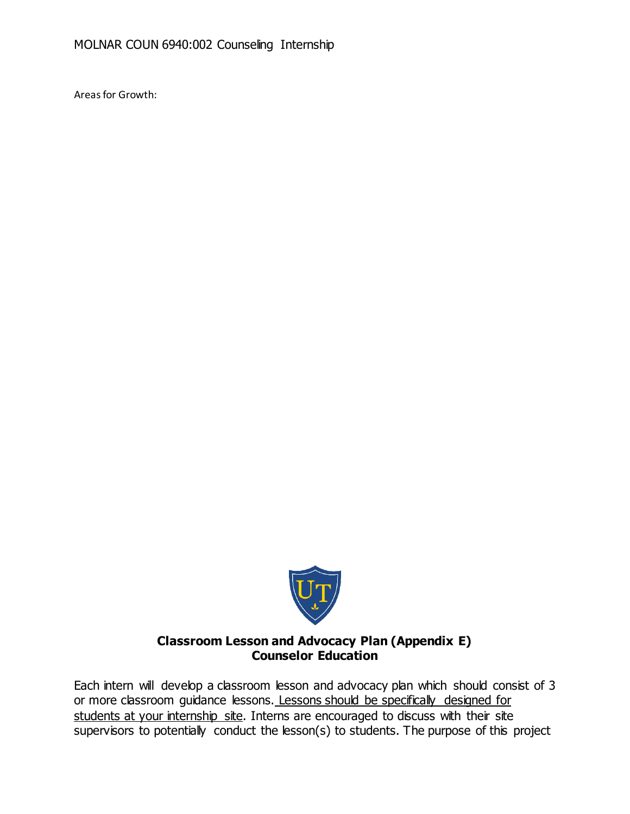Areas for Growth:



# **Classroom Lesson and Advocacy Plan (Appendix E) Counselor Education**

Each intern will develop a classroom lesson and advocacy plan which should consist of 3 or more classroom guidance lessons. Lessons should be specifically designed for students at your internship site. Interns are encouraged to discuss with their site supervisors to potentially conduct the lesson(s) to students. The purpose of this project